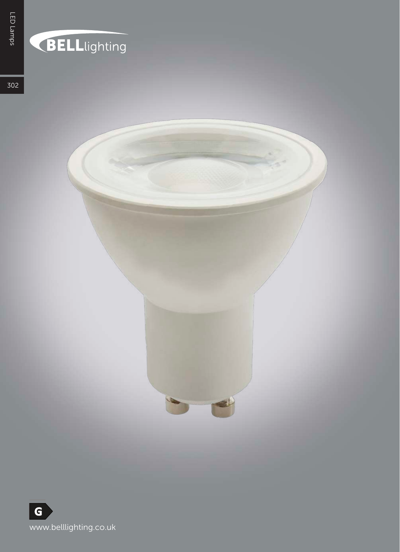## BELLlighting

302